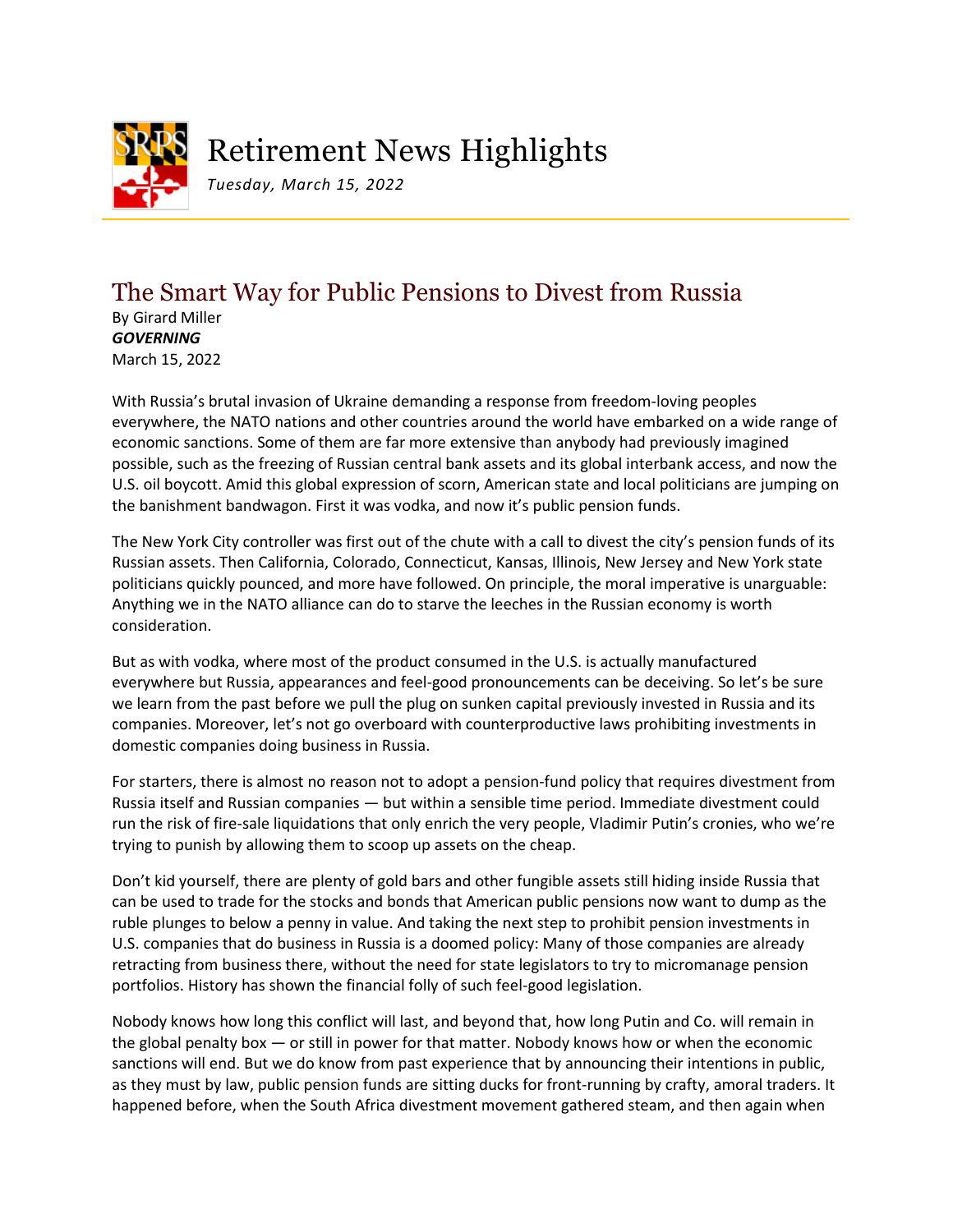

# Retirement News Highlights

*Tuesday, March 15, 2022*

## The Smart Way for Public Pensions to Divest from Russia

By Girard Miller *GOVERNING* March 15, 2022

With Russia's brutal invasion of Ukraine demanding a response from freedom-loving peoples everywhere, the NATO nations and other countries around the world have embarked on a wide range of economic sanctions. Some of them are far more extensive than anybody had previously imagined possible, such as the freezing of Russian central bank assets and its global interbank access, and now the U.S. oil boycott. Amid this global expression of scorn, American state and local politicians are jumping on the banishment bandwagon. First it was vodka, and now it's public pension funds.

The New York City controller was first out of the chute with a call to divest the city's pension funds of its Russian assets. Then California, Colorado, Connecticut, Kansas, Illinois, New Jersey and New York state politicians quickly pounced, and more have followed. On principle, the moral imperative is unarguable: Anything we in the NATO alliance can do to starve the leeches in the Russian economy is worth consideration.

But as with vodka, where most of the product consumed in the U.S. is actually manufactured everywhere but Russia, appearances and feel-good pronouncements can be deceiving. So let's be sure we learn from the past before we pull the plug on sunken capital previously invested in Russia and its companies. Moreover, let's not go overboard with counterproductive laws prohibiting investments in domestic companies doing business in Russia.

For starters, there is almost no reason not to adopt a pension-fund policy that requires divestment from Russia itself and Russian companies — but within a sensible time period. Immediate divestment could run the risk of fire-sale liquidations that only enrich the very people, Vladimir Putin's cronies, who we're trying to punish by allowing them to scoop up assets on the cheap.

Don't kid yourself, there are plenty of gold bars and other fungible assets still hiding inside Russia that can be used to trade for the stocks and bonds that American public pensions now want to dump as the ruble plunges to below a penny in value. And taking the next step to prohibit pension investments in U.S. companies that do business in Russia is a doomed policy: Many of those companies are already retracting from business there, without the need for state legislators to try to micromanage pension portfolios. History has shown the financial folly of such feel-good legislation.

Nobody knows how long this conflict will last, and beyond that, how long Putin and Co. will remain in the global penalty box — or still in power for that matter. Nobody knows how or when the economic sanctions will end. But we do know from past experience that by announcing their intentions in public, as they must by law, public pension funds are sitting ducks for front-running by crafty, amoral traders. It happened before, when the South Africa divestment movement gathered steam, and then again when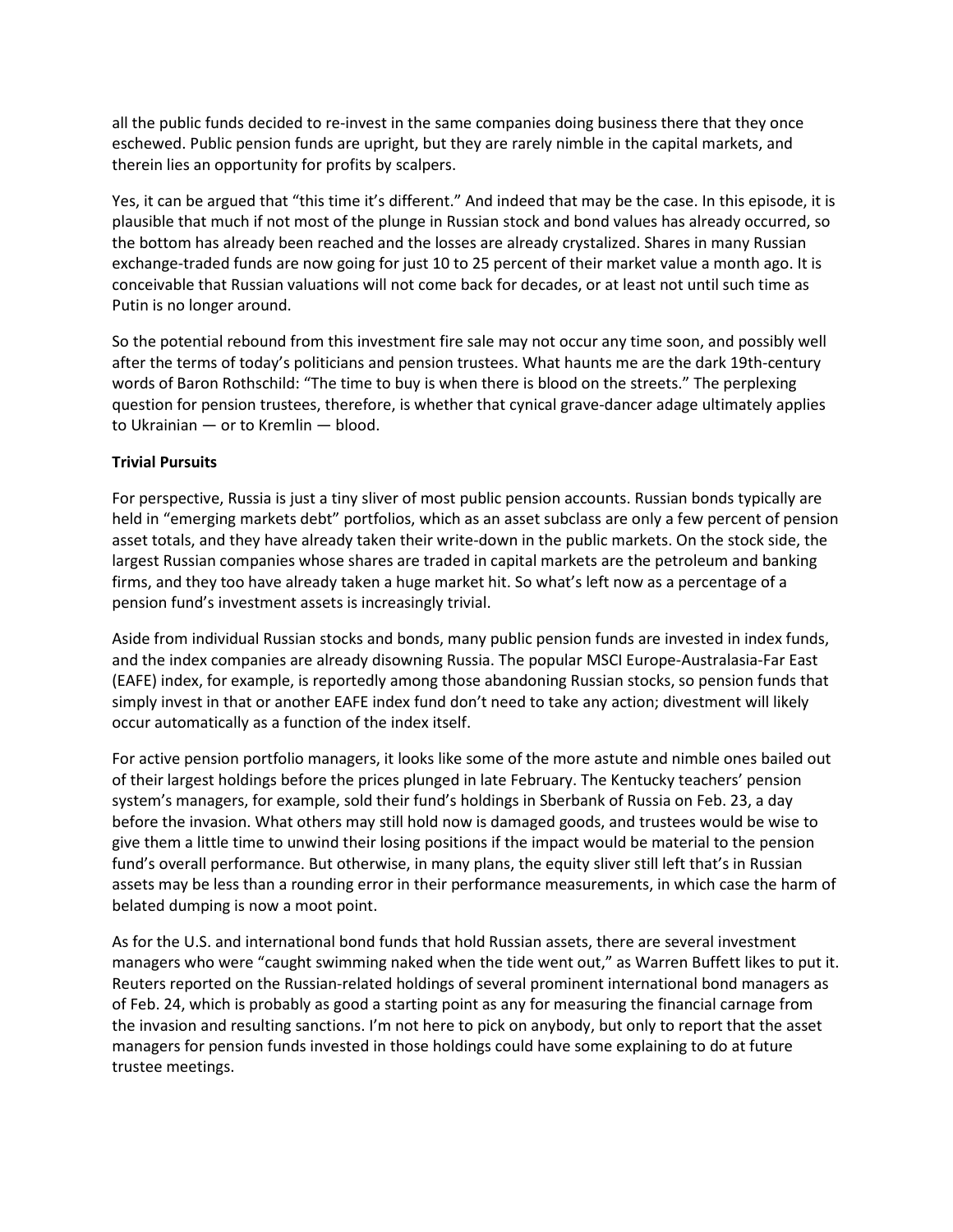all the public funds decided to re-invest in the same companies doing business there that they once eschewed. Public pension funds are upright, but they are rarely nimble in the capital markets, and therein lies an opportunity for profits by scalpers.

Yes, it can be argued that "this time it's different." And indeed that may be the case. In this episode, it is plausible that much if not most of the plunge in Russian stock and bond values has already occurred, so the bottom has already been reached and the losses are already crystalized. Shares in many Russian exchange-traded funds are now going for just 10 to 25 percent of their market value a month ago. It is conceivable that Russian valuations will not come back for decades, or at least not until such time as Putin is no longer around.

So the potential rebound from this investment fire sale may not occur any time soon, and possibly well after the terms of today's politicians and pension trustees. What haunts me are the dark 19th-century words of Baron Rothschild: "The time to buy is when there is blood on the streets." The perplexing question for pension trustees, therefore, is whether that cynical grave-dancer adage ultimately applies to Ukrainian — or to Kremlin — blood.

### **Trivial Pursuits**

For perspective, Russia is just a tiny sliver of most public pension accounts. Russian bonds typically are held in "emerging markets debt" portfolios, which as an asset subclass are only a few percent of pension asset totals, and they have already taken their write-down in the public markets. On the stock side, the largest Russian companies whose shares are traded in capital markets are the petroleum and banking firms, and they too have already taken a huge market hit. So what's left now as a percentage of a pension fund's investment assets is increasingly trivial.

Aside from individual Russian stocks and bonds, many public pension funds are invested in index funds, and the index companies are already disowning Russia. The popular MSCI Europe-Australasia-Far East (EAFE) index, for example, is reportedly among those abandoning Russian stocks, so pension funds that simply invest in that or another EAFE index fund don't need to take any action; divestment will likely occur automatically as a function of the index itself.

For active pension portfolio managers, it looks like some of the more astute and nimble ones bailed out of their largest holdings before the prices plunged in late February. The Kentucky teachers' pension system's managers, for example, sold their fund's holdings in Sberbank of Russia on Feb. 23, a day before the invasion. What others may still hold now is damaged goods, and trustees would be wise to give them a little time to unwind their losing positions if the impact would be material to the pension fund's overall performance. But otherwise, in many plans, the equity sliver still left that's in Russian assets may be less than a rounding error in their performance measurements, in which case the harm of belated dumping is now a moot point.

As for the U.S. and international bond funds that hold Russian assets, there are several investment managers who were "caught swimming naked when the tide went out," as Warren Buffett likes to put it. Reuters reported on the Russian-related holdings of several prominent international bond managers as of Feb. 24, which is probably as good a starting point as any for measuring the financial carnage from the invasion and resulting sanctions. I'm not here to pick on anybody, but only to report that the asset managers for pension funds invested in those holdings could have some explaining to do at future trustee meetings.